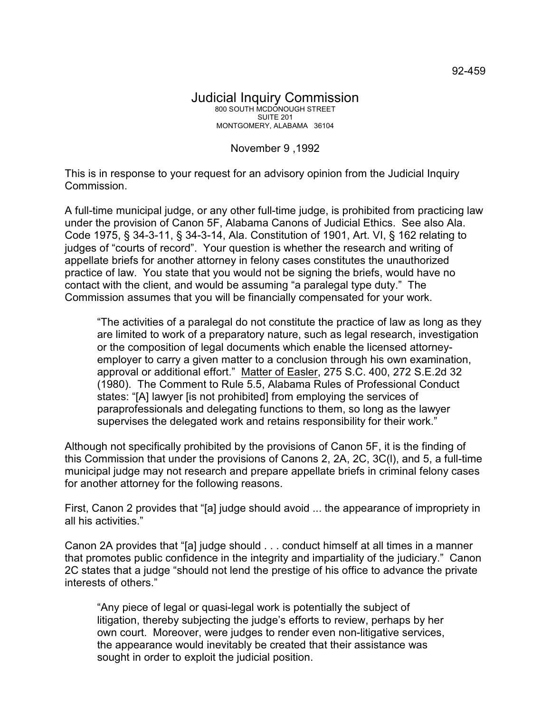## November 9 ,1992

This is in response to your request for an advisory opinion from the Judicial Inquiry Commission.

A full-time municipal judge, or any other full-time judge, is prohibited from practicing law under the provision of Canon 5F, Alabama Canons of Judicial Ethics. See also Ala. Code 1975, § 34-3-11, § 34-3-14, Ala. Constitution of 1901, Art. VI, § 162 relating to judges of "courts of record". Your question is whether the research and writing of appellate briefs for another attorney in felony cases constitutes the unauthorized practice of law. You state that you would not be signing the briefs, would have no contact with the client, and would be assuming "a paralegal type duty." The Commission assumes that you will be financially compensated for your work.

"The activities of a paralegal do not constitute the practice of law as long as they are limited to work of a preparatory nature, such as legal research, investigation or the composition of legal documents which enable the licensed attorneyemployer to carry a given matter to a conclusion through his own examination, approval or additional effort." Matter of Easler, 275 S.C. 400, 272 S.E.2d 32 (1980). The Comment to Rule 5.5, Alabama Rules of Professional Conduct states: "[A] lawyer [is not prohibited] from employing the services of paraprofessionals and delegating functions to them, so long as the lawyer supervises the delegated work and retains responsibility for their work."

Although not specifically prohibited by the provisions of Canon 5F, it is the finding of this Commission that under the provisions of Canons 2, 2A, 2C, 3C(l), and 5, a full-time municipal judge may not research and prepare appellate briefs in criminal felony cases for another attorney for the following reasons.

First, Canon 2 provides that "[a] judge should avoid ... the appearance of impropriety in all his activities."

Canon 2A provides that "[a] judge should . . . conduct himself at all times in a manner that promotes public confidence in the integrity and impartiality of the judiciary." Canon 2C states that a judge "should not lend the prestige of his office to advance the private interests of others."

"Any piece of legal or quasi-legal work is potentially the subject of litigation, thereby subjecting the judge's efforts to review, perhaps by her own court. Moreover, were judges to render even non-litigative services, the appearance would inevitably be created that their assistance was sought in order to exploit the judicial position.